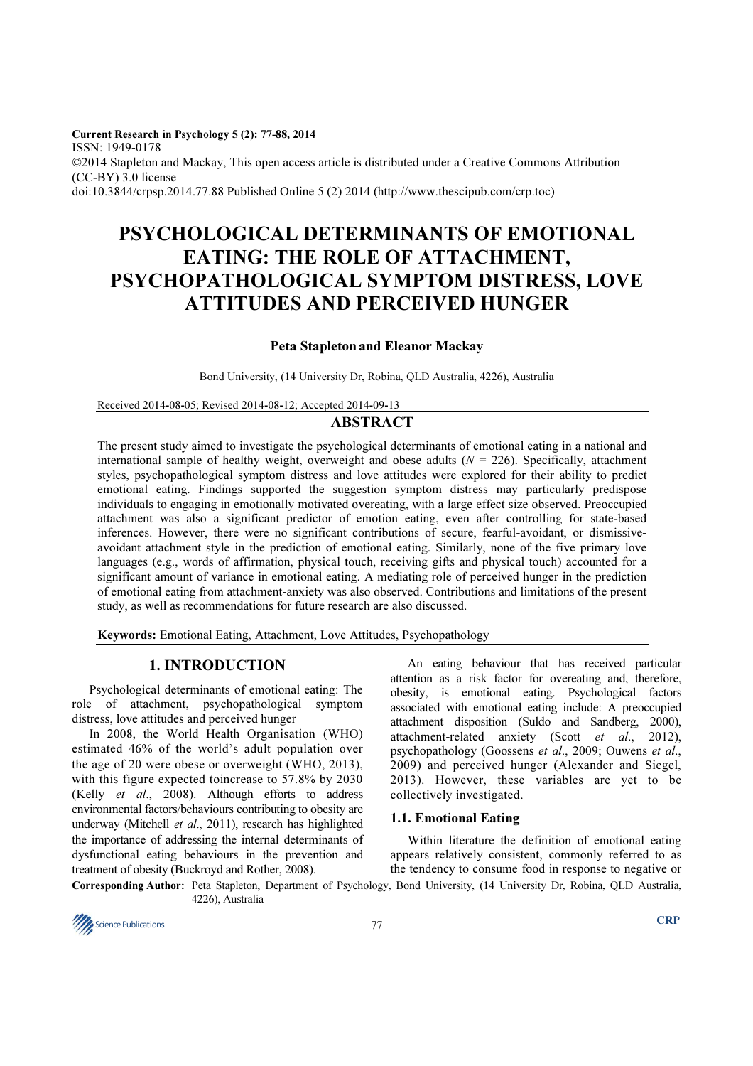Current Research in Psychology 5 (2): 77-88, 2014 ISSN: 1949-0178 ©2014 Stapleton and Mackay, This open access article is distributed under a Creative Commons Attribution (CC-BY) 3.0 license doi:10.3844/crpsp.2014.77.88 Published Online 5 (2) 2014 (http://www.thescipub.com/crp.toc)

# PSYCHOLOGICAL DETERMINANTS OF EMOTIONAL EATING: THE ROLE OF ATTACHMENT, PSYCHOPATHOLOGICAL SYMPTOM DISTRESS, LOVE ATTITUDES AND PERCEIVED HUNGER

## Peta Stapleton and Eleanor Mackay

Bond University, (14 University Dr, Robina, QLD Australia, 4226), Australia

Received 2014-08-05; Revised 2014-08-12; Accepted 2014-09-13

# ABSTRACT

The present study aimed to investigate the psychological determinants of emotional eating in a national and international sample of healthy weight, overweight and obese adults  $(N = 226)$ . Specifically, attachment styles, psychopathological symptom distress and love attitudes were explored for their ability to predict emotional eating. Findings supported the suggestion symptom distress may particularly predispose individuals to engaging in emotionally motivated overeating, with a large effect size observed. Preoccupied attachment was also a significant predictor of emotion eating, even after controlling for state-based inferences. However, there were no significant contributions of secure, fearful-avoidant, or dismissiveavoidant attachment style in the prediction of emotional eating. Similarly, none of the five primary love languages (e.g., words of affirmation, physical touch, receiving gifts and physical touch) accounted for a significant amount of variance in emotional eating. A mediating role of perceived hunger in the prediction of emotional eating from attachment-anxiety was also observed. Contributions and limitations of the present study, as well as recommendations for future research are also discussed.

Keywords: Emotional Eating, Attachment, Love Attitudes, Psychopathology

# 1. INTRODUCTION

Psychological determinants of emotional eating: The role of attachment, psychopathological symptom distress, love attitudes and perceived hunger

In 2008, the World Health Organisation (WHO) estimated 46% of the world's adult population over the age of 20 were obese or overweight (WHO, 2013), with this figure expected toincrease to 57.8% by 2030 (Kelly et al., 2008). Although efforts to address environmental factors/behaviours contributing to obesity are underway (Mitchell et al., 2011), research has highlighted the importance of addressing the internal determinants of dysfunctional eating behaviours in the prevention and treatment of obesity (Buckroyd and Rother, 2008).

An eating behaviour that has received particular attention as a risk factor for overeating and, therefore, obesity, is emotional eating. Psychological factors associated with emotional eating include: A preoccupied attachment disposition (Suldo and Sandberg, 2000), attachment-related anxiety (Scott et al., 2012), psychopathology (Goossens et al., 2009; Ouwens et al., 2009) and perceived hunger (Alexander and Siegel, 2013). However, these variables are yet to be collectively investigated.

#### 1.1. Emotional Eating

Within literature the definition of emotional eating appears relatively consistent, commonly referred to as the tendency to consume food in response to negative or

Corresponding Author: Peta Stapleton, Department of Psychology, Bond University, (14 University Dr, Robina, QLD Australia, 4226), Australia

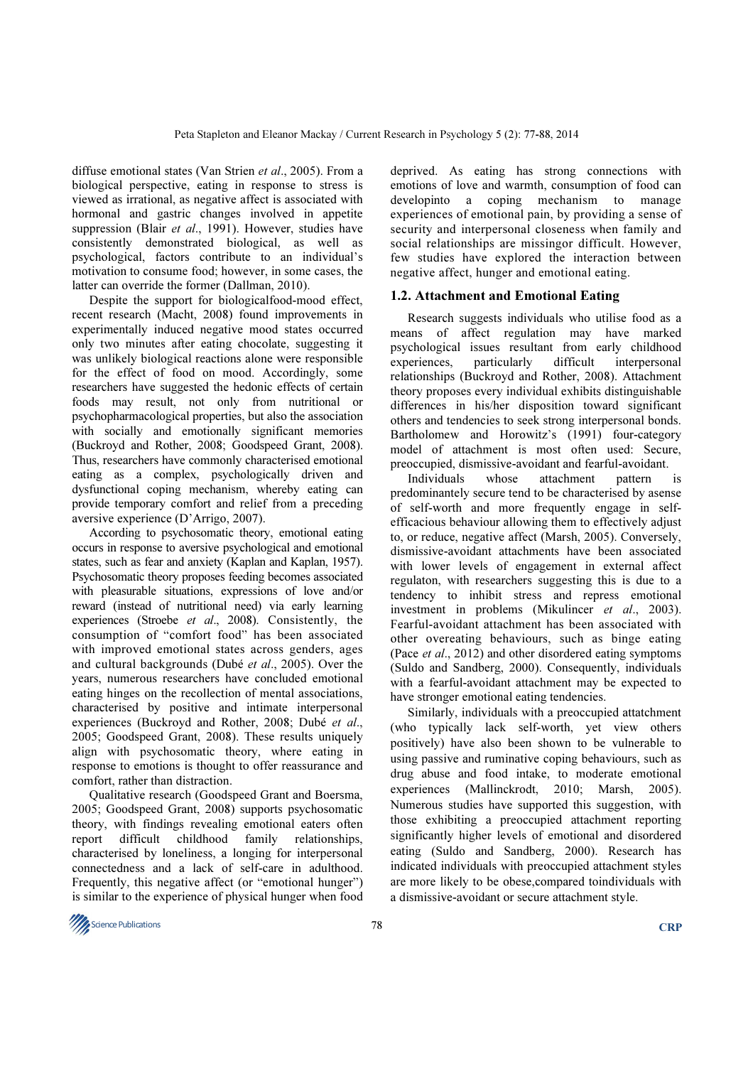diffuse emotional states (Van Strien et al., 2005). From a biological perspective, eating in response to stress is viewed as irrational, as negative affect is associated with hormonal and gastric changes involved in appetite suppression (Blair et al., 1991). However, studies have consistently demonstrated biological, as well as psychological, factors contribute to an individual's motivation to consume food; however, in some cases, the latter can override the former (Dallman, 2010).

Despite the support for biologicalfood-mood effect, recent research (Macht, 2008) found improvements in experimentally induced negative mood states occurred only two minutes after eating chocolate, suggesting it was unlikely biological reactions alone were responsible for the effect of food on mood. Accordingly, some researchers have suggested the hedonic effects of certain foods may result, not only from nutritional or psychopharmacological properties, but also the association with socially and emotionally significant memories (Buckroyd and Rother, 2008; Goodspeed Grant, 2008). Thus, researchers have commonly characterised emotional eating as a complex, psychologically driven and dysfunctional coping mechanism, whereby eating can provide temporary comfort and relief from a preceding aversive experience (D'Arrigo, 2007).

According to psychosomatic theory, emotional eating occurs in response to aversive psychological and emotional states, such as fear and anxiety (Kaplan and Kaplan, 1957). Psychosomatic theory proposes feeding becomes associated with pleasurable situations, expressions of love and/or reward (instead of nutritional need) via early learning experiences (Stroebe et al., 2008). Consistently, the consumption of "comfort food" has been associated with improved emotional states across genders, ages and cultural backgrounds (Dubé et al., 2005). Over the years, numerous researchers have concluded emotional eating hinges on the recollection of mental associations, characterised by positive and intimate interpersonal experiences (Buckroyd and Rother, 2008; Dubé et al., 2005; Goodspeed Grant, 2008). These results uniquely align with psychosomatic theory, where eating in response to emotions is thought to offer reassurance and comfort, rather than distraction.

Qualitative research (Goodspeed Grant and Boersma, 2005; Goodspeed Grant, 2008) supports psychosomatic theory, with findings revealing emotional eaters often report difficult childhood family relationships, characterised by loneliness, a longing for interpersonal connectedness and a lack of self-care in adulthood. Frequently, this negative affect (or "emotional hunger") is similar to the experience of physical hunger when food deprived. As eating has strong connections with emotions of love and warmth, consumption of food can developinto a coping mechanism to manage experiences of emotional pain, by providing a sense of security and interpersonal closeness when family and social relationships are missingor difficult. However, few studies have explored the interaction between negative affect, hunger and emotional eating.

# 1.2. Attachment and Emotional Eating

Research suggests individuals who utilise food as a means of affect regulation may have marked psychological issues resultant from early childhood experiences, particularly difficult interpersonal relationships (Buckroyd and Rother, 2008). Attachment theory proposes every individual exhibits distinguishable differences in his/her disposition toward significant others and tendencies to seek strong interpersonal bonds. Bartholomew and Horowitz's (1991) four-category model of attachment is most often used: Secure, preoccupied, dismissive-avoidant and fearful-avoidant.

Individuals whose attachment pattern is predominantely secure tend to be characterised by asense of self-worth and more frequently engage in selfefficacious behaviour allowing them to effectively adjust to, or reduce, negative affect (Marsh, 2005). Conversely, dismissive-avoidant attachments have been associated with lower levels of engagement in external affect regulaton, with researchers suggesting this is due to a tendency to inhibit stress and repress emotional investment in problems (Mikulincer et al., 2003). Fearful-avoidant attachment has been associated with other overeating behaviours, such as binge eating (Pace et al., 2012) and other disordered eating symptoms (Suldo and Sandberg, 2000). Consequently, individuals with a fearful-avoidant attachment may be expected to have stronger emotional eating tendencies.

Similarly, individuals with a preoccupied attatchment (who typically lack self-worth, yet view others positively) have also been shown to be vulnerable to using passive and ruminative coping behaviours, such as drug abuse and food intake, to moderate emotional experiences (Mallinckrodt, 2010; Marsh, 2005). Numerous studies have supported this suggestion, with those exhibiting a preoccupied attachment reporting significantly higher levels of emotional and disordered eating (Suldo and Sandberg, 2000). Research has indicated individuals with preoccupied attachment styles are more likely to be obese,compared toindividuals with a dismissive-avoidant or secure attachment style.

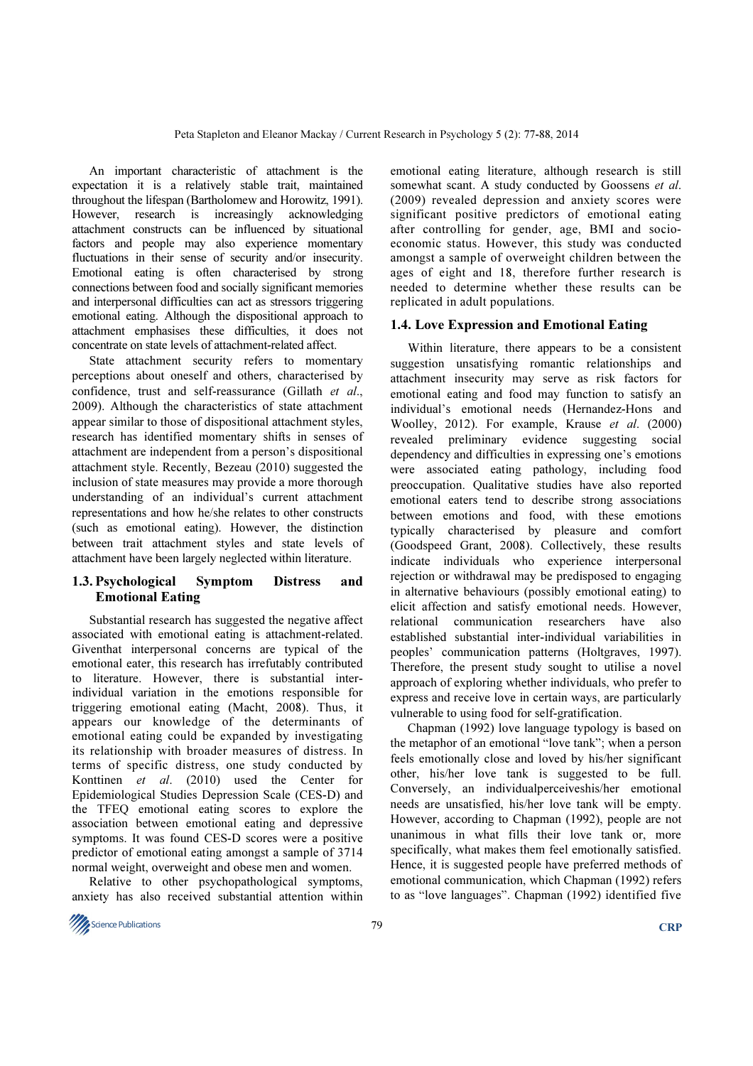An important characteristic of attachment is the expectation it is a relatively stable trait, maintained throughout the lifespan (Bartholomew and Horowitz, 1991). However, research is increasingly acknowledging attachment constructs can be influenced by situational factors and people may also experience momentary fluctuations in their sense of security and/or insecurity. Emotional eating is often characterised by strong connections between food and socially significant memories and interpersonal difficulties can act as stressors triggering emotional eating. Although the dispositional approach to attachment emphasises these difficulties, it does not concentrate on state levels of attachment-related affect.

State attachment security refers to momentary perceptions about oneself and others, characterised by confidence, trust and self-reassurance (Gillath et al., 2009). Although the characteristics of state attachment appear similar to those of dispositional attachment styles, research has identified momentary shifts in senses of attachment are independent from a person's dispositional attachment style. Recently, Bezeau (2010) suggested the inclusion of state measures may provide a more thorough understanding of an individual's current attachment representations and how he/she relates to other constructs (such as emotional eating). However, the distinction between trait attachment styles and state levels of attachment have been largely neglected within literature.

# 1.3. Psychological Symptom Distress and Emotional Eating

Substantial research has suggested the negative affect associated with emotional eating is attachment-related. Giventhat interpersonal concerns are typical of the emotional eater, this research has irrefutably contributed to literature. However, there is substantial interindividual variation in the emotions responsible for triggering emotional eating (Macht, 2008). Thus, it appears our knowledge of the determinants of emotional eating could be expanded by investigating its relationship with broader measures of distress. In terms of specific distress, one study conducted by Konttinen et al. (2010) used the Center for Epidemiological Studies Depression Scale (CES-D) and the TFEQ emotional eating scores to explore the association between emotional eating and depressive symptoms. It was found CES-D scores were a positive predictor of emotional eating amongst a sample of 3714 normal weight, overweight and obese men and women.

Relative to other psychopathological symptoms, anxiety has also received substantial attention within emotional eating literature, although research is still somewhat scant. A study conducted by Goossens et al. (2009) revealed depression and anxiety scores were significant positive predictors of emotional eating after controlling for gender, age, BMI and socioeconomic status. However, this study was conducted amongst a sample of overweight children between the ages of eight and 18, therefore further research is needed to determine whether these results can be replicated in adult populations.

## 1.4. Love Expression and Emotional Eating

Within literature, there appears to be a consistent suggestion unsatisfying romantic relationships and attachment insecurity may serve as risk factors for emotional eating and food may function to satisfy an individual's emotional needs (Hernandez-Hons and Woolley, 2012). For example, Krause et al. (2000) revealed preliminary evidence suggesting social dependency and difficulties in expressing one's emotions were associated eating pathology, including food preoccupation. Qualitative studies have also reported emotional eaters tend to describe strong associations between emotions and food, with these emotions typically characterised by pleasure and comfort (Goodspeed Grant, 2008). Collectively, these results indicate individuals who experience interpersonal rejection or withdrawal may be predisposed to engaging in alternative behaviours (possibly emotional eating) to elicit affection and satisfy emotional needs. However, relational communication researchers have also established substantial inter-individual variabilities in peoples' communication patterns (Holtgraves, 1997). Therefore, the present study sought to utilise a novel approach of exploring whether individuals, who prefer to express and receive love in certain ways, are particularly vulnerable to using food for self-gratification.

Chapman (1992) love language typology is based on the metaphor of an emotional "love tank"; when a person feels emotionally close and loved by his/her significant other, his/her love tank is suggested to be full. Conversely, an individualperceiveshis/her emotional needs are unsatisfied, his/her love tank will be empty. However, according to Chapman (1992), people are not unanimous in what fills their love tank or, more specifically, what makes them feel emotionally satisfied. Hence, it is suggested people have preferred methods of emotional communication, which Chapman (1992) refers to as "love languages". Chapman (1992) identified five

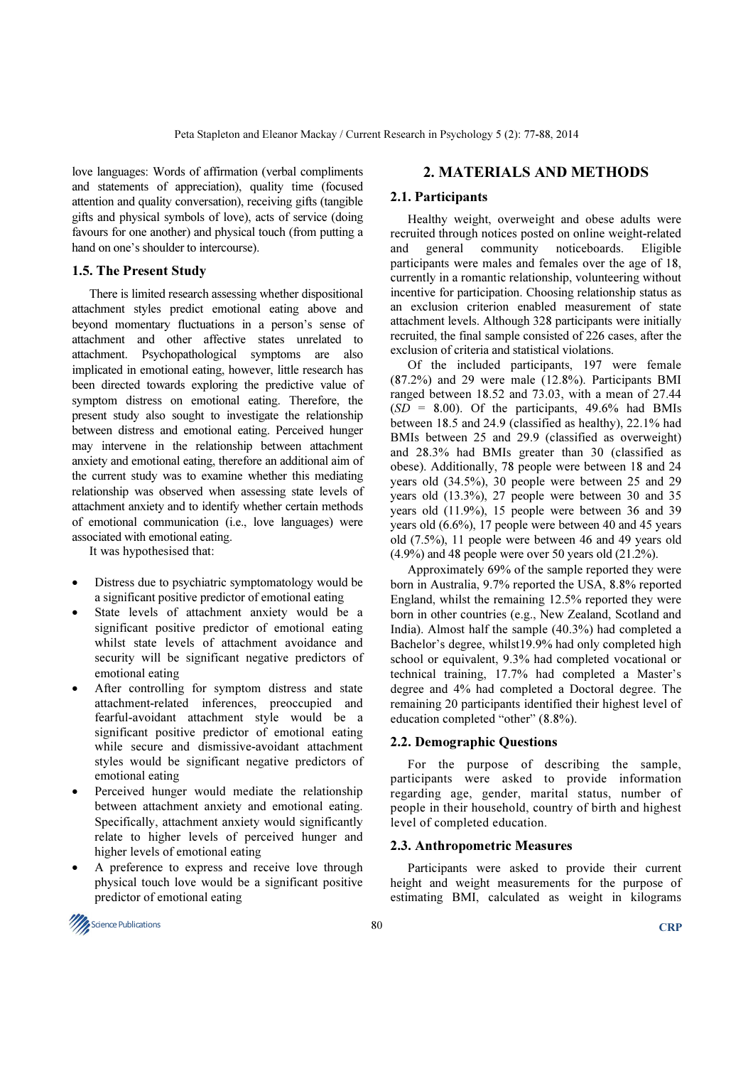love languages: Words of affirmation (verbal compliments and statements of appreciation), quality time (focused attention and quality conversation), receiving gifts (tangible gifts and physical symbols of love), acts of service (doing favours for one another) and physical touch (from putting a hand on one's shoulder to intercourse).

# 1.5. The Present Study

There is limited research assessing whether dispositional attachment styles predict emotional eating above and beyond momentary fluctuations in a person's sense of attachment and other affective states unrelated to attachment. Psychopathological symptoms are also implicated in emotional eating, however, little research has been directed towards exploring the predictive value of symptom distress on emotional eating. Therefore, the present study also sought to investigate the relationship between distress and emotional eating. Perceived hunger may intervene in the relationship between attachment anxiety and emotional eating, therefore an additional aim of the current study was to examine whether this mediating relationship was observed when assessing state levels of attachment anxiety and to identify whether certain methods of emotional communication (i.e., love languages) were associated with emotional eating.

It was hypothesised that:

- Distress due to psychiatric symptomatology would be a significant positive predictor of emotional eating
- State levels of attachment anxiety would be a significant positive predictor of emotional eating whilst state levels of attachment avoidance and security will be significant negative predictors of emotional eating
- After controlling for symptom distress and state attachment-related inferences, preoccupied and fearful-avoidant attachment style would be a significant positive predictor of emotional eating while secure and dismissive-avoidant attachment styles would be significant negative predictors of emotional eating
- Perceived hunger would mediate the relationship between attachment anxiety and emotional eating. Specifically, attachment anxiety would significantly relate to higher levels of perceived hunger and higher levels of emotional eating
- A preference to express and receive love through physical touch love would be a significant positive predictor of emotional eating

# 2. MATERIALS AND METHODS

# 2.1. Participants

Healthy weight, overweight and obese adults were recruited through notices posted on online weight-related and general community noticeboards. Eligible participants were males and females over the age of 18, currently in a romantic relationship, volunteering without incentive for participation. Choosing relationship status as an exclusion criterion enabled measurement of state attachment levels. Although 328 participants were initially recruited, the final sample consisted of 226 cases, after the exclusion of criteria and statistical violations.

Of the included participants, 197 were female (87.2%) and 29 were male (12.8%). Participants BMI ranged between 18.52 and 73.03, with a mean of 27.44  $(SD = 8.00)$ . Of the participants, 49.6% had BMIs between 18.5 and 24.9 (classified as healthy), 22.1% had BMIs between 25 and 29.9 (classified as overweight) and 28.3% had BMIs greater than 30 (classified as obese). Additionally, 78 people were between 18 and 24 years old (34.5%), 30 people were between 25 and 29 years old (13.3%), 27 people were between 30 and 35 years old (11.9%), 15 people were between 36 and 39 years old (6.6%), 17 people were between 40 and 45 years old (7.5%), 11 people were between 46 and 49 years old  $(4.9\%)$  and 48 people were over 50 years old  $(21.2\%).$ 

Approximately 69% of the sample reported they were born in Australia, 9.7% reported the USA, 8.8% reported England, whilst the remaining 12.5% reported they were born in other countries (e.g., New Zealand, Scotland and India). Almost half the sample (40.3%) had completed a Bachelor's degree, whilst19.9% had only completed high school or equivalent, 9.3% had completed vocational or technical training, 17.7% had completed a Master's degree and 4% had completed a Doctoral degree. The remaining 20 participants identified their highest level of education completed "other" (8.8%).

# 2.2. Demographic Questions

For the purpose of describing the sample, participants were asked to provide information regarding age, gender, marital status, number of people in their household, country of birth and highest level of completed education.

# 2.3. Anthropometric Measures

Participants were asked to provide their current height and weight measurements for the purpose of estimating BMI, calculated as weight in kilograms

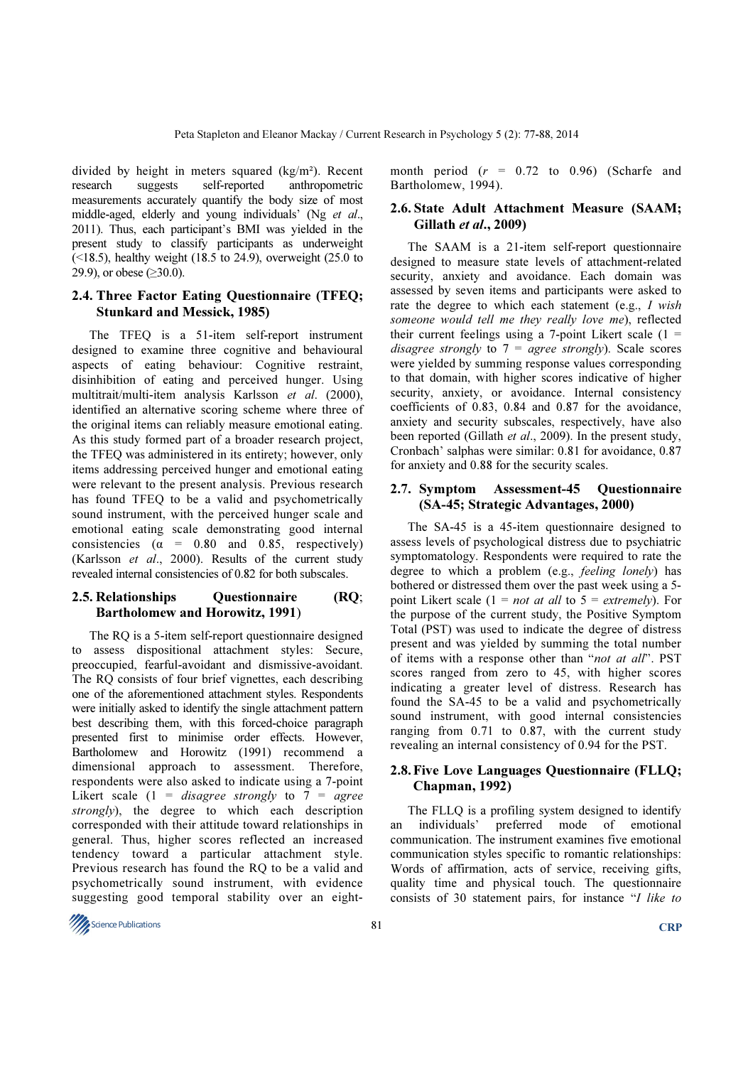divided by height in meters squared (kg/m²). Recent research suggests self-reported anthropometric measurements accurately quantify the body size of most middle-aged, elderly and young individuals' (Ng et al., 2011). Thus, each participant's BMI was yielded in the present study to classify participants as underweight (<18.5), healthy weight (18.5 to 24.9), overweight (25.0 to 29.9), or obese ( $\geq 30.0$ ).

# 2.4. Three Factor Eating Questionnaire (TFEQ; Stunkard and Messick, 1985)

The TFEQ is a 51-item self-report instrument designed to examine three cognitive and behavioural aspects of eating behaviour: Cognitive restraint, disinhibition of eating and perceived hunger. Using multitrait/multi-item analysis Karlsson et al. (2000), identified an alternative scoring scheme where three of the original items can reliably measure emotional eating. As this study formed part of a broader research project, the TFEQ was administered in its entirety; however, only items addressing perceived hunger and emotional eating were relevant to the present analysis. Previous research has found TFEQ to be a valid and psychometrically sound instrument, with the perceived hunger scale and emotional eating scale demonstrating good internal consistencies ( $\alpha$  = 0.80 and 0.85, respectively) (Karlsson et al., 2000). Results of the current study revealed internal consistencies of 0.82 for both subscales.

## 2.5. Relationships Ouestionnaire (RO; Bartholomew and Horowitz, 1991)

The RQ is a 5-item self-report questionnaire designed to assess dispositional attachment styles: Secure, preoccupied, fearful-avoidant and dismissive-avoidant. The RQ consists of four brief vignettes, each describing one of the aforementioned attachment styles. Respondents were initially asked to identify the single attachment pattern best describing them, with this forced-choice paragraph presented first to minimise order effects. However, Bartholomew and Horowitz (1991) recommend a dimensional approach to assessment. Therefore, respondents were also asked to indicate using a 7-point Likert scale (1 = disagree strongly to  $7 = agree$ strongly), the degree to which each description corresponded with their attitude toward relationships in general. Thus, higher scores reflected an increased tendency toward a particular attachment style. Previous research has found the RQ to be a valid and psychometrically sound instrument, with evidence suggesting good temporal stability over an eightmonth period  $(r = 0.72 \text{ to } 0.96)$  (Scharfe and Bartholomew, 1994).

# 2.6. State Adult Attachment Measure (SAAM; Gillath et al., 2009)

The SAAM is a 21-item self-report questionnaire designed to measure state levels of attachment-related security, anxiety and avoidance. Each domain was assessed by seven items and participants were asked to rate the degree to which each statement (e.g., I wish someone would tell me they really love me), reflected their current feelings using a 7-point Likert scale  $(1 =$ disagree strongly to  $7 = \text{agree}$  strongly). Scale scores were yielded by summing response values corresponding to that domain, with higher scores indicative of higher security, anxiety, or avoidance. Internal consistency coefficients of 0.83, 0.84 and 0.87 for the avoidance, anxiety and security subscales, respectively, have also been reported (Gillath et al., 2009). In the present study, Cronbach' salphas were similar: 0.81 for avoidance, 0.87 for anxiety and 0.88 for the security scales.

#### 2.7. Symptom Assessment-45 Questionnaire (SA-45; Strategic Advantages, 2000)

The SA-45 is a 45-item questionnaire designed to assess levels of psychological distress due to psychiatric symptomatology. Respondents were required to rate the degree to which a problem (e.g., feeling lonely) has bothered or distressed them over the past week using a 5 point Likert scale (1 = *not at all* to  $5 =$  *extremely*). For the purpose of the current study, the Positive Symptom Total (PST) was used to indicate the degree of distress present and was yielded by summing the total number of items with a response other than "not at all". PST scores ranged from zero to 45, with higher scores indicating a greater level of distress. Research has found the SA-45 to be a valid and psychometrically sound instrument, with good internal consistencies ranging from 0.71 to 0.87, with the current study revealing an internal consistency of 0.94 for the PST.

# 2.8. Five Love Languages Questionnaire (FLLQ; Chapman, 1992)

The FLLQ is a profiling system designed to identify an individuals' preferred mode of emotional communication. The instrument examines five emotional communication styles specific to romantic relationships: Words of affirmation, acts of service, receiving gifts, quality time and physical touch. The questionnaire consists of 30 statement pairs, for instance "I like to

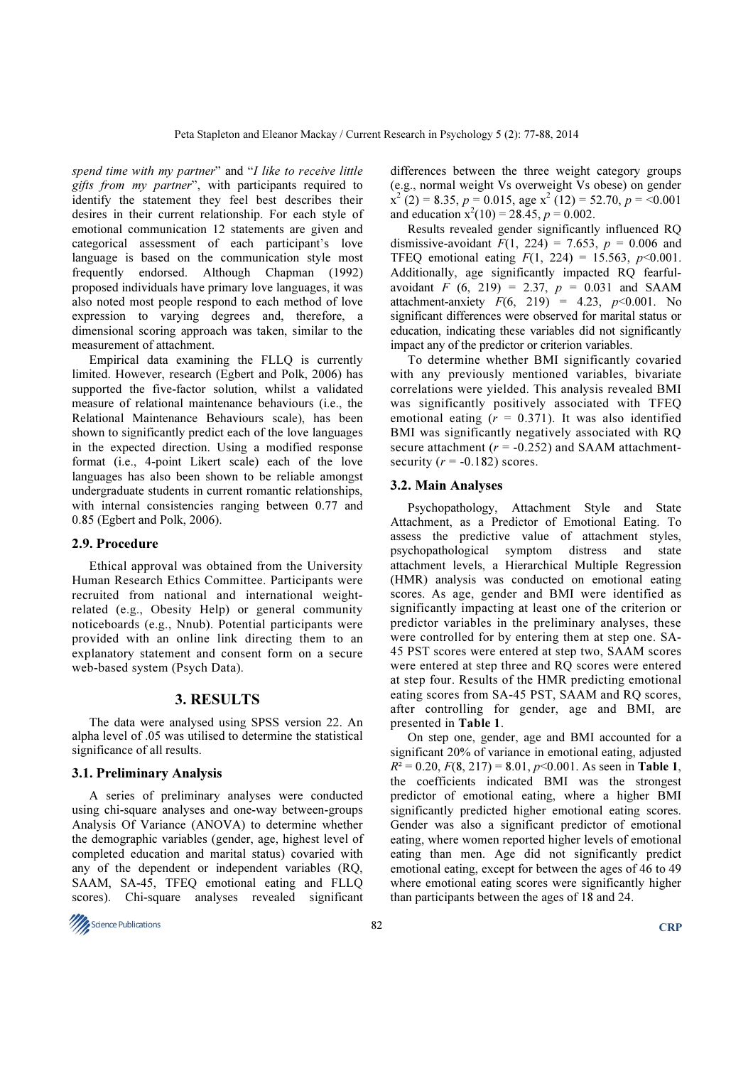spend time with my partner" and "I like to receive little gifts from my partner", with participants required to identify the statement they feel best describes their desires in their current relationship. For each style of emotional communication 12 statements are given and categorical assessment of each participant's love language is based on the communication style most frequently endorsed. Although Chapman (1992) proposed individuals have primary love languages, it was also noted most people respond to each method of love expression to varying degrees and, therefore, a dimensional scoring approach was taken, similar to the measurement of attachment.

Empirical data examining the FLLQ is currently limited. However, research (Egbert and Polk, 2006) has supported the five-factor solution, whilst a validated measure of relational maintenance behaviours (i.e., the Relational Maintenance Behaviours scale), has been shown to significantly predict each of the love languages in the expected direction. Using a modified response format (i.e., 4-point Likert scale) each of the love languages has also been shown to be reliable amongst undergraduate students in current romantic relationships, with internal consistencies ranging between 0.77 and 0.85 (Egbert and Polk, 2006).

#### 2.9. Procedure

Ethical approval was obtained from the University Human Research Ethics Committee. Participants were recruited from national and international weightrelated (e.g., Obesity Help) or general community noticeboards (e.g., Nnub). Potential participants were provided with an online link directing them to an explanatory statement and consent form on a secure web-based system (Psych Data).

#### 3. RESULTS

The data were analysed using SPSS version 22. An alpha level of .05 was utilised to determine the statistical significance of all results.

#### 3.1. Preliminary Analysis

A series of preliminary analyses were conducted using chi-square analyses and one-way between-groups Analysis Of Variance (ANOVA) to determine whether the demographic variables (gender, age, highest level of completed education and marital status) covaried with any of the dependent or independent variables (RQ, SAAM, SA-45, TFEQ emotional eating and FLLQ scores). Chi-square analyses revealed significant

differences between the three weight category groups (e.g., normal weight Vs overweight Vs obese) on gender  $\vec{x}^2$  (2) = 8.35, p = 0.015, age  $\vec{x}^2$  (12) = 52.70, p = <0.001 and education  $x^2(10) = 28.45$ ,  $p = 0.002$ .

Results revealed gender significantly influenced RQ dismissive-avoidant  $F(1, 224) = 7.653$ ,  $p = 0.006$  and TFEQ emotional eating  $F(1, 224) = 15.563$ ,  $p<0.001$ . Additionally, age significantly impacted RQ fearfulavoidant F  $(6, 219) = 2.37$ ,  $p = 0.031$  and SAAM attachment-anxiety  $F(6, 219) = 4.23, p < 0.001$ . No significant differences were observed for marital status or education, indicating these variables did not significantly impact any of the predictor or criterion variables.

To determine whether BMI significantly covaried with any previously mentioned variables, bivariate correlations were yielded. This analysis revealed BMI was significantly positively associated with TFEQ emotional eating  $(r = 0.371)$ . It was also identified BMI was significantly negatively associated with RQ secure attachment ( $r = -0.252$ ) and SAAM attachmentsecurity ( $r = -0.182$ ) scores.

#### 3.2. Main Analyses

Psychopathology, Attachment Style and State Attachment, as a Predictor of Emotional Eating. To assess the predictive value of attachment styles, psychopathological symptom distress and state attachment levels, a Hierarchical Multiple Regression (HMR) analysis was conducted on emotional eating scores. As age, gender and BMI were identified as significantly impacting at least one of the criterion or predictor variables in the preliminary analyses, these were controlled for by entering them at step one. SA-45 PST scores were entered at step two, SAAM scores were entered at step three and RQ scores were entered at step four. Results of the HMR predicting emotional eating scores from SA-45 PST, SAAM and RQ scores, after controlling for gender, age and BMI, are presented in Table 1.

On step one, gender, age and BMI accounted for a significant 20% of variance in emotional eating, adjusted  $R^2 = 0.20$ ,  $F(8, 217) = 8.01$ ,  $p<0.001$ . As seen in Table 1, the coefficients indicated BMI was the strongest predictor of emotional eating, where a higher BMI significantly predicted higher emotional eating scores. Gender was also a significant predictor of emotional eating, where women reported higher levels of emotional eating than men. Age did not significantly predict emotional eating, except for between the ages of 46 to 49 where emotional eating scores were significantly higher than participants between the ages of 18 and 24.

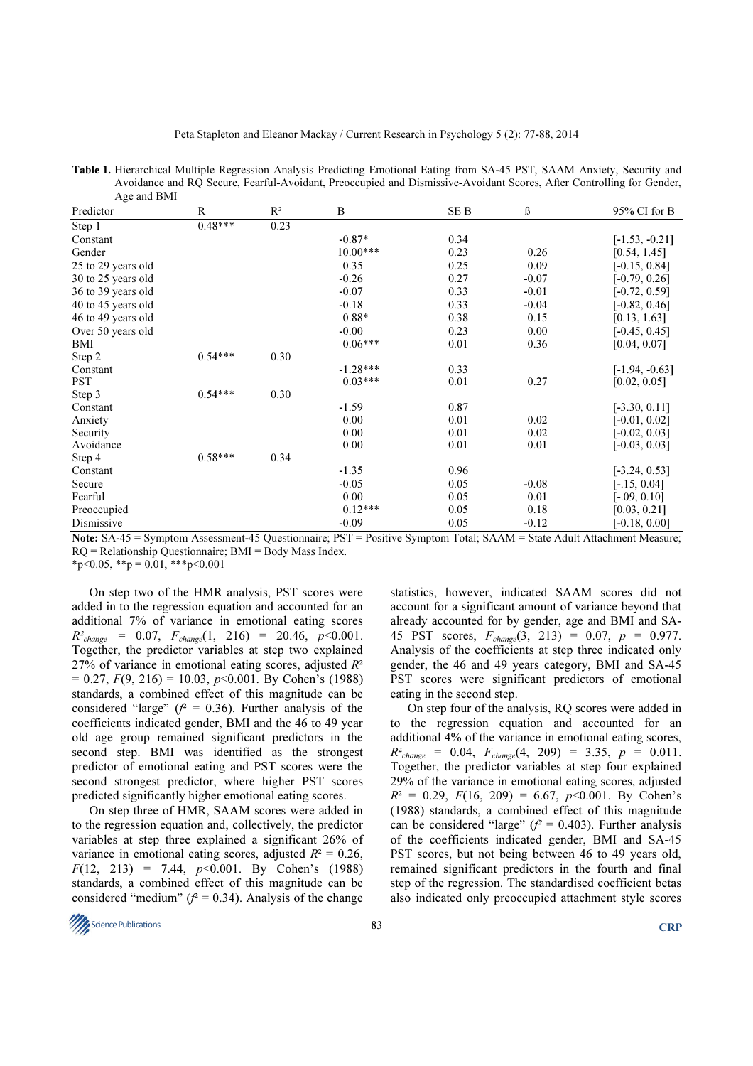| Age and BMI        |              |       |            |      |         |                  |  |
|--------------------|--------------|-------|------------|------|---------|------------------|--|
| Predictor          | $\mathbb{R}$ | $R^2$ | B          | SE B | ß       | 95% CI for B     |  |
| Step 1             | $0.48***$    | 0.23  |            |      |         |                  |  |
| Constant           |              |       | $-0.87*$   | 0.34 |         | $[-1.53, -0.21]$ |  |
| Gender             |              |       | $10.00***$ | 0.23 | 0.26    | [0.54, 1.45]     |  |
| 25 to 29 years old |              |       | 0.35       | 0.25 | 0.09    | $[-0.15, 0.84]$  |  |
| 30 to 25 years old |              |       | $-0.26$    | 0.27 | $-0.07$ | $[-0.79, 0.26]$  |  |
| 36 to 39 years old |              |       | $-0.07$    | 0.33 | $-0.01$ | $[-0.72, 0.59]$  |  |
| 40 to 45 years old |              |       | $-0.18$    | 0.33 | $-0.04$ | $[-0.82, 0.46]$  |  |
| 46 to 49 years old |              |       | $0.88*$    | 0.38 | 0.15    | [0.13, 1.63]     |  |
| Over 50 years old  |              |       | $-0.00$    | 0.23 | 0.00    | $[-0.45, 0.45]$  |  |
| BMI                |              |       | $0.06***$  | 0.01 | 0.36    | [0.04, 0.07]     |  |
| Step 2             | $0.54***$    | 0.30  |            |      |         |                  |  |
| Constant           |              |       | $-1.28***$ | 0.33 |         | $[-1.94, -0.63]$ |  |
| <b>PST</b>         |              |       | $0.03***$  | 0.01 | 0.27    | [0.02, 0.05]     |  |
| Step 3             | $0.54***$    | 0.30  |            |      |         |                  |  |
| Constant           |              |       | $-1.59$    | 0.87 |         | $[-3.30, 0.11]$  |  |
| Anxiety            |              |       | 0.00       | 0.01 | 0.02    | $[-0.01, 0.02]$  |  |
| Security           |              |       | 0.00       | 0.01 | 0.02    | $[-0.02, 0.03]$  |  |
| Avoidance          |              |       | 0.00       | 0.01 | 0.01    | $[-0.03, 0.03]$  |  |
| Step 4             | $0.58***$    | 0.34  |            |      |         |                  |  |
| Constant           |              |       | $-1.35$    | 0.96 |         | $[-3.24, 0.53]$  |  |
| Secure             |              |       | $-0.05$    | 0.05 | $-0.08$ | $[-.15, 0.04]$   |  |
| Fearful            |              |       | 0.00       | 0.05 | 0.01    | $[-.09, 0.10]$   |  |
| Preoccupied        |              |       | $0.12***$  | 0.05 | 0.18    | [0.03, 0.21]     |  |
| Dismissive         |              |       | $-0.09$    | 0.05 | $-0.12$ | $[-0.18, 0.00]$  |  |

Table 1. Hierarchical Multiple Regression Analysis Predicting Emotional Eating from SA-45 PST, SAAM Anxiety, Security and Avoidance and RQ Secure, Fearful-Avoidant, Preoccupied and Dismissive-Avoidant Scores, After Controlling for Gender,

Note: SA-45 = Symptom Assessment-45 Questionnaire; PST = Positive Symptom Total; SAAM = State Adult Attachment Measure; RQ = Relationship Questionnaire; BMI = Body Mass Index.

 $*_{p<0.05}$ ,  $*_{p} = 0.01$ ,  $*_{p<0.001}$ 

On step two of the HMR analysis, PST scores were added in to the regression equation and accounted for an additional 7% of variance in emotional eating scores  $R^2_{change} = 0.07, F_{change}(1, 216) = 20.46, p<0.001.$ Together, the predictor variables at step two explained 27% of variance in emotional eating scores, adjusted  $R^2$  $= 0.27, F(9, 216) = 10.03, p<0.001$ . By Cohen's (1988) standards, a combined effect of this magnitude can be considered "large" ( $f^2 = 0.36$ ). Further analysis of the coefficients indicated gender, BMI and the 46 to 49 year old age group remained significant predictors in the second step. BMI was identified as the strongest predictor of emotional eating and PST scores were the second strongest predictor, where higher PST scores predicted significantly higher emotional eating scores.

On step three of HMR, SAAM scores were added in to the regression equation and, collectively, the predictor variables at step three explained a significant 26% of variance in emotional eating scores, adjusted  $R^2 = 0.26$ ,  $F(12, 213) = 7.44, p<0.001$ . By Cohen's (1988) standards, a combined effect of this magnitude can be considered "medium" ( $f^2 = 0.34$ ). Analysis of the change

statistics, however, indicated SAAM scores did not account for a significant amount of variance beyond that already accounted for by gender, age and BMI and SA-45 PST scores,  $F_{change}(3, 213) = 0.07$ ,  $p = 0.977$ . Analysis of the coefficients at step three indicated only gender, the 46 and 49 years category, BMI and SA-45 PST scores were significant predictors of emotional eating in the second step.

On step four of the analysis, RQ scores were added in to the regression equation and accounted for an additional 4% of the variance in emotional eating scores,  $R^2_{change} = 0.04$ ,  $F_{change}(4, 209) = 3.35$ ,  $p = 0.011$ . Together, the predictor variables at step four explained 29% of the variance in emotional eating scores, adjusted  $R^2 = 0.29$ ,  $F(16, 209) = 6.67$ ,  $p < 0.001$ . By Cohen's (1988) standards, a combined effect of this magnitude can be considered "large" ( $f^2 = 0.403$ ). Further analysis of the coefficients indicated gender, BMI and SA-45 PST scores, but not being between 46 to 49 years old, remained significant predictors in the fourth and final step of the regression. The standardised coefficient betas also indicated only preoccupied attachment style scores

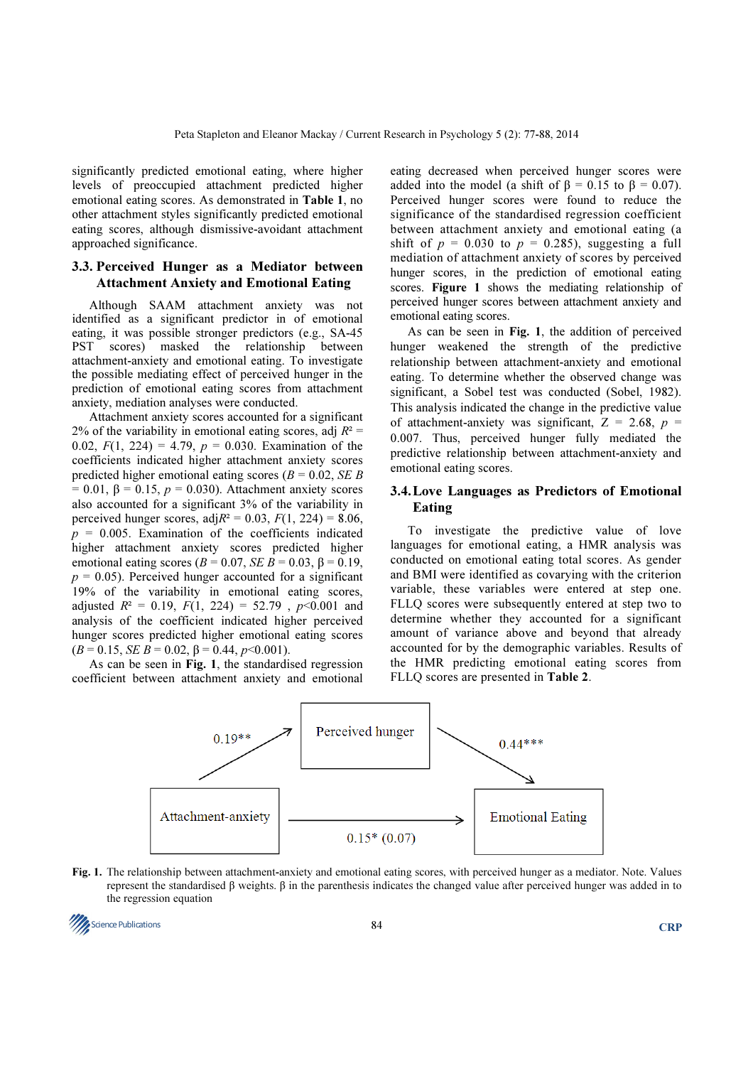significantly predicted emotional eating, where higher levels of preoccupied attachment predicted higher emotional eating scores. As demonstrated in Table 1, no other attachment styles significantly predicted emotional eating scores, although dismissive-avoidant attachment approached significance.

# 3.3. Perceived Hunger as a Mediator between Attachment Anxiety and Emotional Eating

Although SAAM attachment anxiety was not identified as a significant predictor in of emotional eating, it was possible stronger predictors (e.g., SA-45 PST scores) masked the relationship between attachment-anxiety and emotional eating. To investigate the possible mediating effect of perceived hunger in the prediction of emotional eating scores from attachment anxiety, mediation analyses were conducted.

Attachment anxiety scores accounted for a significant 2% of the variability in emotional eating scores, adj  $R^2$  = 0.02,  $F(1, 224) = 4.79$ ,  $p = 0.030$ . Examination of the coefficients indicated higher attachment anxiety scores predicted higher emotional eating scores ( $B = 0.02$ , *SE B* = 0.01,  $\beta$  = 0.15,  $p$  = 0.030). Attachment anxiety scores also accounted for a significant 3% of the variability in perceived hunger scores, adj $R^2 = 0.03$ ,  $F(1, 224) = 8.06$ ,  $p = 0.005$ . Examination of the coefficients indicated higher attachment anxiety scores predicted higher emotional eating scores ( $B = 0.07$ ,  $SE \overline{B} = 0.03$ ,  $\beta = 0.19$ ,  $p = 0.05$ ). Perceived hunger accounted for a significant 19% of the variability in emotional eating scores, adjusted  $R^2 = 0.19$ ,  $F(1, 224) = 52.79$ ,  $p < 0.001$  and analysis of the coefficient indicated higher perceived hunger scores predicted higher emotional eating scores  $(B = 0.15, SEB = 0.02, \beta = 0.44, p < 0.001$ .

As can be seen in Fig. 1, the standardised regression coefficient between attachment anxiety and emotional

eating decreased when perceived hunger scores were added into the model (a shift of  $\beta = 0.15$  to  $\beta = 0.07$ ). Perceived hunger scores were found to reduce the significance of the standardised regression coefficient between attachment anxiety and emotional eating (a shift of  $p = 0.030$  to  $p = 0.285$ , suggesting a full mediation of attachment anxiety of scores by perceived hunger scores, in the prediction of emotional eating scores. Figure 1 shows the mediating relationship of perceived hunger scores between attachment anxiety and emotional eating scores.

As can be seen in Fig. 1, the addition of perceived hunger weakened the strength of the predictive relationship between attachment-anxiety and emotional eating. To determine whether the observed change was significant, a Sobel test was conducted (Sobel, 1982). This analysis indicated the change in the predictive value of attachment-anxiety was significant,  $Z = 2.68$ ,  $p =$ 0.007. Thus, perceived hunger fully mediated the predictive relationship between attachment-anxiety and emotional eating scores.

# 3.4. Love Languages as Predictors of Emotional Eating

To investigate the predictive value of love languages for emotional eating, a HMR analysis was conducted on emotional eating total scores. As gender and BMI were identified as covarying with the criterion variable, these variables were entered at step one. FLLQ scores were subsequently entered at step two to determine whether they accounted for a significant amount of variance above and beyond that already accounted for by the demographic variables. Results of the HMR predicting emotional eating scores from FLLQ scores are presented in Table 2.



Fig. 1. The relationship between attachment-anxiety and emotional eating scores, with perceived hunger as a mediator. Note. Values represent the standardised β weights. β in the parenthesis indicates the changed value after perceived hunger was added in to the regression equation

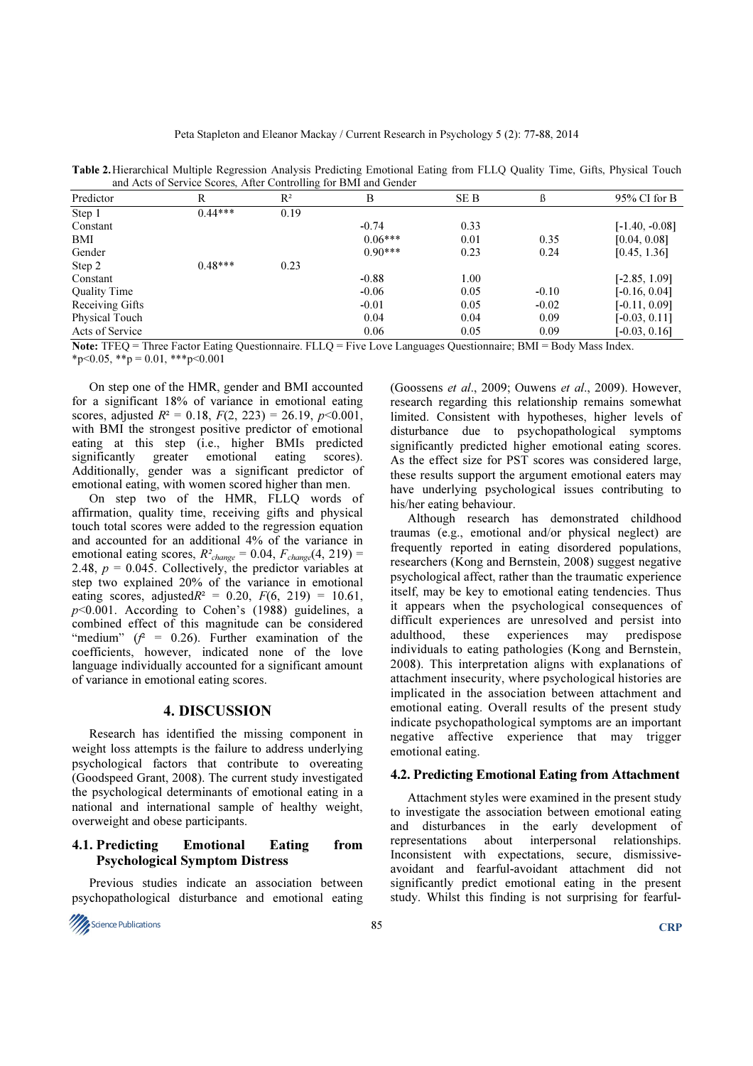| Predictor           | R         | $R^2$ | B         | SE B | ß       | $95\%$ CI for B  |
|---------------------|-----------|-------|-----------|------|---------|------------------|
| Step 1              | $0.44***$ | 0.19  |           |      |         |                  |
| Constant            |           |       | $-0.74$   | 0.33 |         | $[-1.40, -0.08]$ |
| BMI                 |           |       | $0.06***$ | 0.01 | 0.35    | [0.04, 0.08]     |
| Gender              |           |       | $0.90***$ | 0.23 | 0.24    | [0.45, 1.36]     |
| Step 2              | $0.48***$ | 0.23  |           |      |         |                  |
| Constant            |           |       | $-0.88$   | 1.00 |         | $[-2.85, 1.09]$  |
| <b>Quality Time</b> |           |       | $-0.06$   | 0.05 | $-0.10$ | $[-0.16, 0.04]$  |
| Receiving Gifts     |           |       | $-0.01$   | 0.05 | $-0.02$ | $[-0.11, 0.09]$  |
| Physical Touch      |           |       | 0.04      | 0.04 | 0.09    | $[-0.03, 0.11]$  |
| Acts of Service     |           |       | 0.06      | 0.05 | 0.09    | $[-0.03, 0.16]$  |

Table 2. Hierarchical Multiple Regression Analysis Predicting Emotional Eating from FLLQ Quality Time, Gifts, Physical Touch and Acts of Service Scores, After Controlling for BMI and Gender

Note: TFEQ = Three Factor Eating Questionnaire. FLLQ = Five Love Languages Questionnaire; BMI = Body Mass Index.  $*_{p \le 0.05}$ ,  $*_{p} = 0.01$ ,  $*_{p \le 0.001}$ 

On step one of the HMR, gender and BMI accounted for a significant 18% of variance in emotional eating scores, adjusted  $R^2 = 0.18$ ,  $F(2, 223) = 26.19$ ,  $p \le 0.001$ , with BMI the strongest positive predictor of emotional eating at this step (i.e., higher BMIs predicted significantly greater emotional eating scores). Additionally, gender was a significant predictor of emotional eating, with women scored higher than men.

On step two of the HMR, FLLQ words of affirmation, quality time, receiving gifts and physical touch total scores were added to the regression equation and accounted for an additional 4% of the variance in emotional eating scores,  $R^2_{change} = 0.04$ ,  $F_{change}(4, 219) =$ 2.48,  $p = 0.045$ . Collectively, the predictor variables at step two explained 20% of the variance in emotional eating scores, adjusted $R^2 = 0.20, F(6, 219) = 10.61$ ,  $p$ <0.001. According to Cohen's (1988) guidelines, a combined effect of this magnitude can be considered "medium" ( $f^2$  = 0.26). Further examination of the coefficients, however, indicated none of the love language individually accounted for a significant amount of variance in emotional eating scores.

#### 4. DISCUSSION

Research has identified the missing component in weight loss attempts is the failure to address underlying psychological factors that contribute to overeating (Goodspeed Grant, 2008). The current study investigated the psychological determinants of emotional eating in a national and international sample of healthy weight, overweight and obese participants.

# 4.1. Predicting Emotional Eating from Psychological Symptom Distress

Previous studies indicate an association between psychopathological disturbance and emotional eating



(Goossens et al., 2009; Ouwens et al., 2009). However, research regarding this relationship remains somewhat limited. Consistent with hypotheses, higher levels of disturbance due to psychopathological symptoms significantly predicted higher emotional eating scores. As the effect size for PST scores was considered large, these results support the argument emotional eaters may have underlying psychological issues contributing to his/her eating behaviour.

Although research has demonstrated childhood traumas (e.g., emotional and/or physical neglect) are frequently reported in eating disordered populations, researchers (Kong and Bernstein, 2008) suggest negative psychological affect, rather than the traumatic experience itself, may be key to emotional eating tendencies. Thus it appears when the psychological consequences of difficult experiences are unresolved and persist into adulthood, these experiences may predispose individuals to eating pathologies (Kong and Bernstein, 2008). This interpretation aligns with explanations of attachment insecurity, where psychological histories are implicated in the association between attachment and emotional eating. Overall results of the present study indicate psychopathological symptoms are an important negative affective experience that may trigger emotional eating.

#### 4.2. Predicting Emotional Eating from Attachment

Attachment styles were examined in the present study to investigate the association between emotional eating and disturbances in the early development of representations about interpersonal relationships. about interpersonal relationships. Inconsistent with expectations, secure, dismissiveavoidant and fearful-avoidant attachment did not significantly predict emotional eating in the present study. Whilst this finding is not surprising for fearful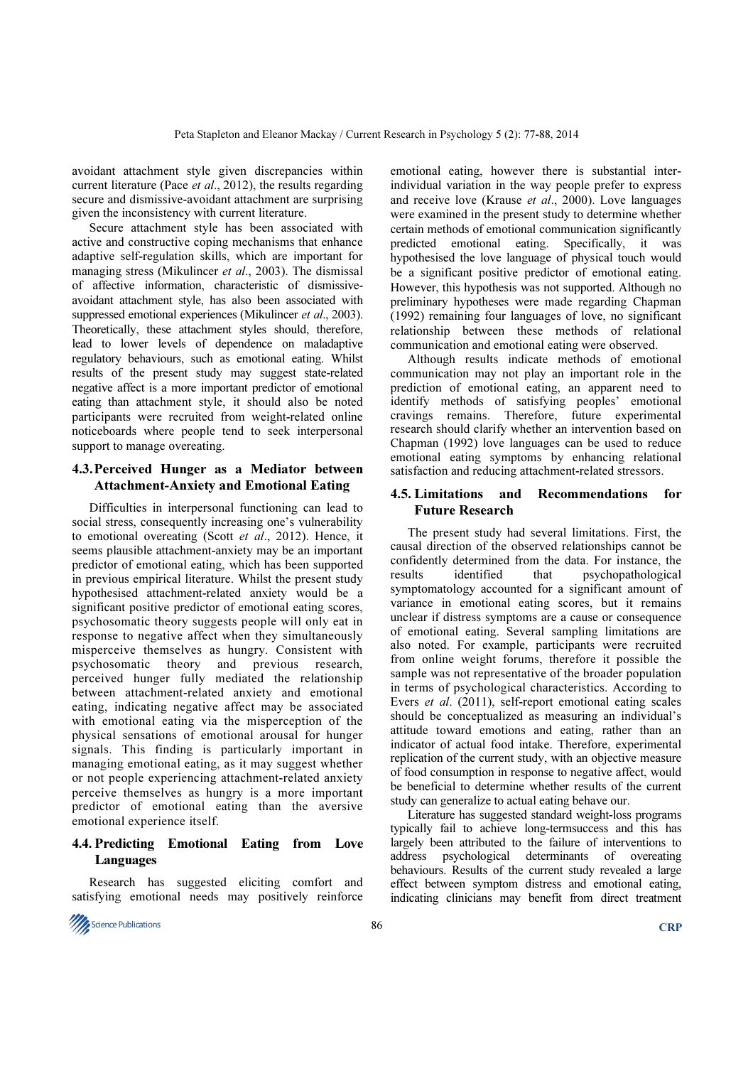avoidant attachment style given discrepancies within current literature (Pace et al., 2012), the results regarding secure and dismissive-avoidant attachment are surprising given the inconsistency with current literature.

Secure attachment style has been associated with active and constructive coping mechanisms that enhance adaptive self-regulation skills, which are important for managing stress (Mikulincer *et al.*, 2003). The dismissal of affective information, characteristic of dismissiveavoidant attachment style, has also been associated with suppressed emotional experiences (Mikulincer et al., 2003). Theoretically, these attachment styles should, therefore, lead to lower levels of dependence on maladaptive regulatory behaviours, such as emotional eating. Whilst results of the present study may suggest state-related negative affect is a more important predictor of emotional eating than attachment style, it should also be noted participants were recruited from weight-related online noticeboards where people tend to seek interpersonal support to manage overeating.

# 4.3. Perceived Hunger as a Mediator between Attachment-Anxiety and Emotional Eating

Difficulties in interpersonal functioning can lead to social stress, consequently increasing one's vulnerability to emotional overeating (Scott et al., 2012). Hence, it seems plausible attachment-anxiety may be an important predictor of emotional eating, which has been supported in previous empirical literature. Whilst the present study hypothesised attachment-related anxiety would be a significant positive predictor of emotional eating scores, psychosomatic theory suggests people will only eat in response to negative affect when they simultaneously misperceive themselves as hungry. Consistent with psychosomatic theory and previous research, perceived hunger fully mediated the relationship between attachment-related anxiety and emotional eating, indicating negative affect may be associated with emotional eating via the misperception of the physical sensations of emotional arousal for hunger signals. This finding is particularly important in managing emotional eating, as it may suggest whether or not people experiencing attachment-related anxiety perceive themselves as hungry is a more important predictor of emotional eating than the aversive emotional experience itself.

# 4.4. Predicting Emotional Eating from Love Languages

Research has suggested eliciting comfort and satisfying emotional needs may positively reinforce

Science Publications  $86$ 

emotional eating, however there is substantial interindividual variation in the way people prefer to express and receive love (Krause et al., 2000). Love languages were examined in the present study to determine whether certain methods of emotional communication significantly predicted emotional eating. Specifically, it was hypothesised the love language of physical touch would be a significant positive predictor of emotional eating. However, this hypothesis was not supported. Although no preliminary hypotheses were made regarding Chapman (1992) remaining four languages of love, no significant relationship between these methods of relational communication and emotional eating were observed.

Although results indicate methods of emotional communication may not play an important role in the prediction of emotional eating, an apparent need to identify methods of satisfying peoples' emotional cravings remains. Therefore, future experimental research should clarify whether an intervention based on Chapman (1992) love languages can be used to reduce emotional eating symptoms by enhancing relational satisfaction and reducing attachment-related stressors.

# 4.5. Limitations and Recommendations for Future Research

The present study had several limitations. First, the causal direction of the observed relationships cannot be confidently determined from the data. For instance, the results identified that psychopathological symptomatology accounted for a significant amount of variance in emotional eating scores, but it remains unclear if distress symptoms are a cause or consequence of emotional eating. Several sampling limitations are also noted. For example, participants were recruited from online weight forums, therefore it possible the sample was not representative of the broader population in terms of psychological characteristics. According to Evers et al. (2011), self-report emotional eating scales should be conceptualized as measuring an individual's attitude toward emotions and eating, rather than an indicator of actual food intake. Therefore, experimental replication of the current study, with an objective measure of food consumption in response to negative affect, would be beneficial to determine whether results of the current study can generalize to actual eating behave our.

Literature has suggested standard weight-loss programs typically fail to achieve long-termsuccess and this has largely been attributed to the failure of interventions to address psychological determinants of overeating behaviours. Results of the current study revealed a large effect between symptom distress and emotional eating, indicating clinicians may benefit from direct treatment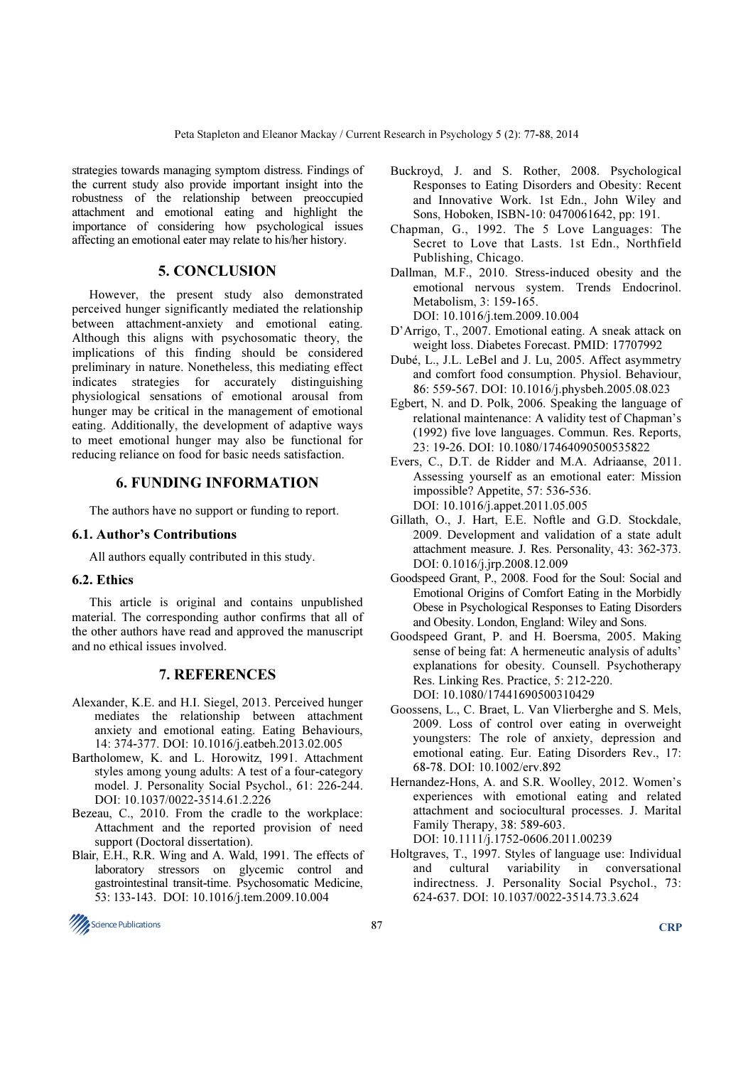strategies towards managing symptom distress. Findings of the current study also provide important insight into the robustness of the relationship between preoccupied attachment and emotional eating and highlight the importance of considering how psychological issues affecting an emotional eater may relate to his/her history.

# 5. CONCLUSION

However, the present study also demonstrated perceived hunger significantly mediated the relationship between attachment-anxiety and emotional eating. Although this aligns with psychosomatic theory, the implications of this finding should be considered preliminary in nature. Nonetheless, this mediating effect indicates strategies for accurately distinguishing physiological sensations of emotional arousal from hunger may be critical in the management of emotional eating. Additionally, the development of adaptive ways to meet emotional hunger may also be functional for reducing reliance on food for basic needs satisfaction.

# 6. FUNDING INFORMATION

The authors have no support or funding to report.

#### 6.1. Author's Contributions

All authors equally contributed in this study.

# 6.2. Ethics

This article is original and contains unpublished material. The corresponding author confirms that all of the other authors have read and approved the manuscript and no ethical issues involved.

# 7. REFERENCES

- Alexander, K.E. and H.I. Siegel, 2013. Perceived hunger mediates the relationship between attachment anxiety and emotional eating. Eating Behaviours, 14: 374-377. DOI: 10.1016/j.eatbeh.2013.02.005
- Bartholomew, K. and L. Horowitz, 1991. Attachment styles among young adults: A test of a four-category model. J. Personality Social Psychol., 61: 226-244. DOI: 10.1037/0022-3514.61.2.226
- Bezeau, C., 2010. From the cradle to the workplace: Attachment and the reported provision of need support (Doctoral dissertation).
- Blair, E.H., R.R. Wing and A. Wald, 1991. The effects of laboratory stressors on glycemic control and gastrointestinal transit-time. Psychosomatic Medicine, 53: 133-143. DOI: 10.1016/j.tem.2009.10.004
- Buckroyd, J. and S. Rother, 2008. Psychological Responses to Eating Disorders and Obesity: Recent and Innovative Work. 1st Edn., John Wiley and Sons, Hoboken, ISBN-10: 0470061642, pp: 191.
- Chapman, G., 1992. The 5 Love Languages: The Secret to Love that Lasts. 1st Edn., Northfield Publishing, Chicago.
- Dallman, M.F., 2010. Stress-induced obesity and the emotional nervous system. Trends Endocrinol. Metabolism, 3: 159-165. DOI: 10.1016/j.tem.2009.10.004
- D'Arrigo, T., 2007. Emotional eating. A sneak attack on weight loss. Diabetes Forecast. PMID: 17707992
- Dubé, L., J.L. LeBel and J. Lu, 2005. Affect asymmetry and comfort food consumption. Physiol. Behaviour, 86: 559-567. DOI: 10.1016/j.physbeh.2005.08.023
- Egbert, N. and D. Polk, 2006. Speaking the language of relational maintenance: A validity test of Chapman's (1992) five love languages. Commun. Res. Reports, 23: 19-26. DOI: 10.1080/17464090500535822
- Evers, C., D.T. de Ridder and M.A. Adriaanse, 2011. Assessing yourself as an emotional eater: Mission impossible? Appetite, 57: 536-536. DOI: 10.1016/j.appet.2011.05.005
- Gillath, O., J. Hart, E.E. Noftle and G.D. Stockdale, 2009. Development and validation of a state adult attachment measure. J. Res. Personality, 43: 362-373. DOI: 0.1016/j.jrp.2008.12.009
- Goodspeed Grant, P., 2008. Food for the Soul: Social and Emotional Origins of Comfort Eating in the Morbidly Obese in Psychological Responses to Eating Disorders and Obesity. London, England: Wiley and Sons.
- Goodspeed Grant, P. and H. Boersma, 2005. Making sense of being fat: A hermeneutic analysis of adults' explanations for obesity. Counsell. Psychotherapy Res. Linking Res. Practice, 5: 212-220. DOI: 10.1080/17441690500310429
- Goossens, L., C. Braet, L. Van Vlierberghe and S. Mels, 2009. Loss of control over eating in overweight youngsters: The role of anxiety, depression and emotional eating. Eur. Eating Disorders Rev., 17: 68-78. DOI: 10.1002/erv.892
- Hernandez-Hons, A. and S.R. Woolley, 2012. Women's experiences with emotional eating and related attachment and sociocultural processes. J. Marital Family Therapy, 38: 589-603. DOI: 10.1111/j.1752-0606.2011.00239
- Holtgraves, T., 1997. Styles of language use: Individual and cultural variability in conversational indirectness. J. Personality Social Psychol., 73: 624-637. DOI: 10.1037/0022-3514.73.3.624